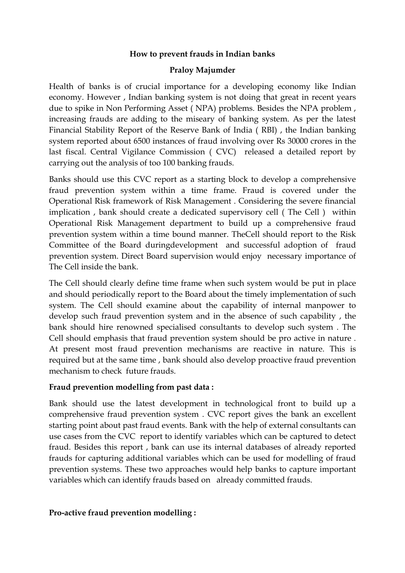## **How to prevent frauds in Indian banks**

### **Praloy Majumder**

Health of banks is of crucial importance for a developing economy like Indian economy. However , Indian banking system is not doing that great in recent years due to spike in Non Performing Asset ( NPA) problems. Besides the NPA problem , increasing frauds are adding to the miseary of banking system. As per the latest Financial Stability Report of the Reserve Bank of India ( RBI) , the Indian banking system reported about 6500 instances of fraud involving over Rs 30000 crores in the last fiscal. Central Vigilance Commission ( CVC) released a detailed report by carrying out the analysis of too 100 banking frauds.

Banks should use this CVC report as a starting block to develop a comprehensive fraud prevention system within a time frame. Fraud is covered under the Operational Risk framework of Risk Management . Considering the severe financial implication , bank should create a dedicated supervisory cell ( The Cell ) within Operational Risk Management department to build up a comprehensive fraud prevention system within a time bound manner. TheCell should report to the Risk Committee of the Board duringdevelopment and successful adoption of fraud prevention system. Direct Board supervision would enjoy necessary importance of The Cell inside the bank.

The Cell should clearly define time frame when such system would be put in place and should periodically report to the Board about the timely implementation of such system. The Cell should examine about the capability of internal manpower to develop such fraud prevention system and in the absence of such capability , the bank should hire renowned specialised consultants to develop such system . The Cell should emphasis that fraud prevention system should be pro active in nature . At present most fraud prevention mechanisms are reactive in nature. This is required but at the same time , bank should also develop proactive fraud prevention mechanism to check future frauds.

### **Fraud prevention modelling from past data :**

Bank should use the latest development in technological front to build up a comprehensive fraud prevention system . CVC report gives the bank an excellent starting point about past fraud events. Bank with the help of external consultants can use cases from the CVC report to identify variables which can be captured to detect fraud. Besides this report , bank can use its internal databases of already reported frauds for capturing additional variables which can be used for modelling of fraud prevention systems. These two approaches would help banks to capture important variables which can identify frauds based on already committed frauds.

### **Pro-active fraud prevention modelling :**